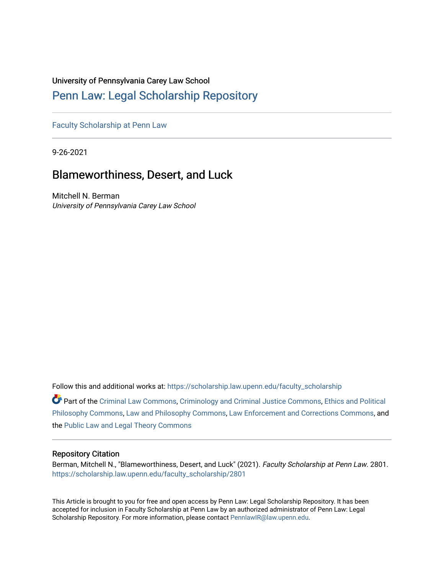# University of Pennsylvania Carey Law School

# [Penn Law: Legal Scholarship Repository](https://scholarship.law.upenn.edu/)

[Faculty Scholarship at Penn Law](https://scholarship.law.upenn.edu/faculty_scholarship)

9-26-2021

# Blameworthiness, Desert, and Luck

Mitchell N. Berman University of Pennsylvania Carey Law School

Follow this and additional works at: [https://scholarship.law.upenn.edu/faculty\\_scholarship](https://scholarship.law.upenn.edu/faculty_scholarship?utm_source=scholarship.law.upenn.edu%2Ffaculty_scholarship%2F2801&utm_medium=PDF&utm_campaign=PDFCoverPages) 

Part of the [Criminal Law Commons,](http://network.bepress.com/hgg/discipline/912?utm_source=scholarship.law.upenn.edu%2Ffaculty_scholarship%2F2801&utm_medium=PDF&utm_campaign=PDFCoverPages) [Criminology and Criminal Justice Commons](http://network.bepress.com/hgg/discipline/367?utm_source=scholarship.law.upenn.edu%2Ffaculty_scholarship%2F2801&utm_medium=PDF&utm_campaign=PDFCoverPages), [Ethics and Political](http://network.bepress.com/hgg/discipline/529?utm_source=scholarship.law.upenn.edu%2Ffaculty_scholarship%2F2801&utm_medium=PDF&utm_campaign=PDFCoverPages)  [Philosophy Commons,](http://network.bepress.com/hgg/discipline/529?utm_source=scholarship.law.upenn.edu%2Ffaculty_scholarship%2F2801&utm_medium=PDF&utm_campaign=PDFCoverPages) [Law and Philosophy Commons,](http://network.bepress.com/hgg/discipline/1299?utm_source=scholarship.law.upenn.edu%2Ffaculty_scholarship%2F2801&utm_medium=PDF&utm_campaign=PDFCoverPages) [Law Enforcement and Corrections Commons,](http://network.bepress.com/hgg/discipline/854?utm_source=scholarship.law.upenn.edu%2Ffaculty_scholarship%2F2801&utm_medium=PDF&utm_campaign=PDFCoverPages) and the [Public Law and Legal Theory Commons](http://network.bepress.com/hgg/discipline/871?utm_source=scholarship.law.upenn.edu%2Ffaculty_scholarship%2F2801&utm_medium=PDF&utm_campaign=PDFCoverPages)

# Repository Citation

Berman, Mitchell N., "Blameworthiness, Desert, and Luck" (2021). Faculty Scholarship at Penn Law. 2801. [https://scholarship.law.upenn.edu/faculty\\_scholarship/2801](https://scholarship.law.upenn.edu/faculty_scholarship/2801?utm_source=scholarship.law.upenn.edu%2Ffaculty_scholarship%2F2801&utm_medium=PDF&utm_campaign=PDFCoverPages)

This Article is brought to you for free and open access by Penn Law: Legal Scholarship Repository. It has been accepted for inclusion in Faculty Scholarship at Penn Law by an authorized administrator of Penn Law: Legal Scholarship Repository. For more information, please contact [PennlawIR@law.upenn.edu.](mailto:PennlawIR@law.upenn.edu)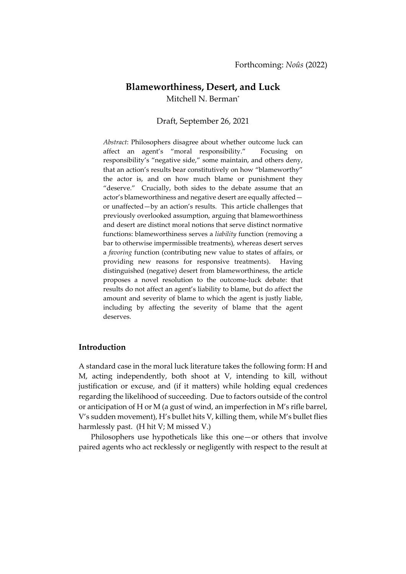# **Blameworthiness, Desert, and Luck** Mitchell N. Berman\*

# Draft, September 26, 2021

*Abstract*: Philosophers disagree about whether outcome luck can affect an agent's "moral responsibility." Focusing on responsibility's "negative side," some maintain, and others deny, that an action's results bear constitutively on how "blameworthy" the actor is, and on how much blame or punishment they "deserve." Crucially, both sides to the debate assume that an actor's blameworthiness and negative desert are equally affected or unaffected—by an action's results. This article challenges that previously overlooked assumption, arguing that blameworthiness and desert are distinct moral notions that serve distinct normative functions: blameworthiness serves a *liability* function (removing a bar to otherwise impermissible treatments), whereas desert serves a *favoring* function (contributing new value to states of affairs, or providing new reasons for responsive treatments). Having distinguished (negative) desert from blameworthiness, the article proposes a novel resolution to the outcome-luck debate: that results do not affect an agent's liability to blame, but do affect the amount and severity of blame to which the agent is justly liable, including by affecting the severity of blame that the agent deserves.

# **Introduction**

A standard case in the moral luck literature takes the following form: H and M, acting independently, both shoot at V, intending to kill, without justification or excuse, and (if it matters) while holding equal credences regarding the likelihood of succeeding. Due to factors outside of the control or anticipation of H or M (a gust of wind, an imperfection in M's rifle barrel, V's sudden movement), H's bullet hits V, killing them, while M's bullet flies harmlessly past. (H hit V; M missed V.)

Philosophers use hypotheticals like this one—or others that involve paired agents who act recklessly or negligently with respect to the result at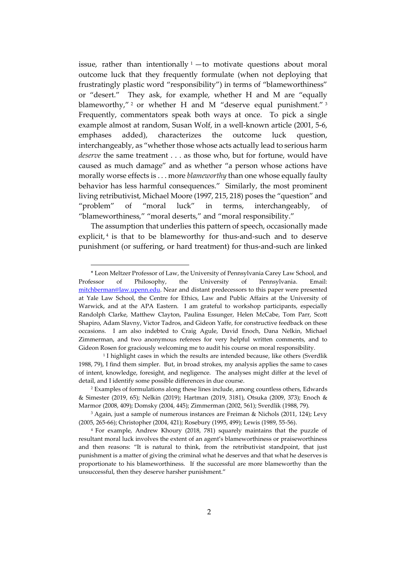issue, rather than intentionally  $1 -$ to motivate questions about moral outcome luck that they frequently formulate (when not deploying that frustratingly plastic word "responsibility") in terms of "blameworthiness" or "desert." They ask, for example, whether H and M are "equally blameworthy,"<sup>2</sup> or whether H and M "deserve equal punishment."<sup>3</sup> Frequently, commentators speak both ways at once. To pick a single example almost at random, Susan Wolf, in a well-known article (2001, 5-6, emphases added), characterizes the outcome luck question, interchangeably, as "whether those whose acts actually lead to serious harm *deserve* the same treatment . . . as those who, but for fortune, would have caused as much damage" and as whether "a person whose actions have morally worse effects is . . . more *blameworthy* than one whose equally faulty behavior has less harmful consequences." Similarly, the most prominent living retributivist, Michael Moore (1997, 215, 218) poses the "question" and "problem" of "moral luck" in terms, interchangeably, of "blameworthiness," "moral deserts," and "moral responsibility."

The assumption that underlies this pattern of speech, occasionally made explicit,<sup>4</sup> is that to be blameworthy for thus-and-such and to deserve punishment (or suffering, or hard treatment) for thus-and-such are linked

<sup>\*</sup> Leon Meltzer Professor of Law, the University of Pennsylvania Carey Law School, and Professor of Philosophy, the University of Pennsylvania. Email: [mitchberman@law.upenn.edu.](mailto:mitchberman@law.upenn.edu) Near and distant predecessors to this paper were presented at Yale Law School, the Centre for Ethics, Law and Public Affairs at the University of Warwick, and at the APA Eastern. I am grateful to workshop participants, especially Randolph Clarke, Matthew Clayton, Paulina Essunger, Helen McCabe, Tom Parr, Scott Shapiro, Adam Slavny, Victor Tadros, and Gideon Yaffe, for constructive feedback on these occasions. I am also indebted to Craig Agule, David Enoch, Dana Nelkin, Michael Zimmerman, and two anonymous referees for very helpful written comments, and to Gideon Rosen for graciously welcoming me to audit his course on moral responsibility.

<sup>1</sup> I highlight cases in which the results are intended because, like others (Sverdlik 1988, 79), I find them simpler. But, in broad strokes, my analysis applies the same to cases of intent, knowledge, foresight, and negligence. The analyses might differ at the level of detail, and I identify some possible differences in due course.

<sup>2</sup> Examples of formulations along these lines include, among countless others, Edwards & Simester (2019, 65); Nelkin (2019); Hartman (2019, 3181), Otsuka (2009, 373); Enoch & Marmor (2008, 409); Domsky (2004, 445); Zimmerman (2002, 561); Sverdlik (1988, 79).

<sup>3</sup> Again, just a sample of numerous instances are Freiman & Nichols (2011, 124); Levy (2005, 265-66); Christopher (2004, 421); Rosebury (1995, 499); Lewis (1989, 55-56).

<sup>4</sup> For example, Andrew Khoury (2018, 781) squarely maintains that the puzzle of resultant moral luck involves the extent of an agent's blameworthiness or praiseworthiness and then reasons: "It is natural to think, from the retributivist standpoint, that just punishment is a matter of giving the criminal what he deserves and that what he deserves is proportionate to his blameworthiness. If the successful are more blameworthy than the unsuccessful, then they deserve harsher punishment."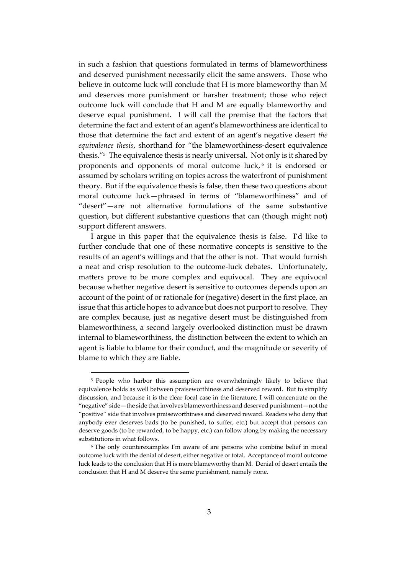in such a fashion that questions formulated in terms of blameworthiness and deserved punishment necessarily elicit the same answers. Those who believe in outcome luck will conclude that H is more blameworthy than M and deserves more punishment or harsher treatment; those who reject outcome luck will conclude that H and M are equally blameworthy and deserve equal punishment. I will call the premise that the factors that determine the fact and extent of an agent's blameworthiness are identical to those that determine the fact and extent of an agent's negative desert *the equivalence thesis*, shorthand for "the blameworthiness-desert equivalence thesis." <sup>5</sup> The equivalence thesis is nearly universal. Not only is it shared by proponents and opponents of moral outcome luck, 6 it is endorsed or assumed by scholars writing on topics across the waterfront of punishment theory. But if the equivalence thesis is false, then these two questions about moral outcome luck—phrased in terms of "blameworthiness" and of "desert"—are not alternative formulations of the same substantive question, but different substantive questions that can (though might not) support different answers.

I argue in this paper that the equivalence thesis is false. I'd like to further conclude that one of these normative concepts is sensitive to the results of an agent's willings and that the other is not. That would furnish a neat and crisp resolution to the outcome-luck debates. Unfortunately, matters prove to be more complex and equivocal. They are equivocal because whether negative desert is sensitive to outcomes depends upon an account of the point of or rationale for (negative) desert in the first place, an issue that this article hopes to advance but does not purport to resolve. They are complex because, just as negative desert must be distinguished from blameworthiness, a second largely overlooked distinction must be drawn internal to blameworthiness, the distinction between the extent to which an agent is liable to blame for their conduct, and the magnitude or severity of blame to which they are liable.

<sup>&</sup>lt;sup>5</sup> People who harbor this assumption are overwhelmingly likely to believe that equivalence holds as well between praiseworthiness and deserved reward. But to simplify discussion, and because it is the clear focal case in the literature, I will concentrate on the "negative" side—the side that involves blameworthiness and deserved punishment—not the "positive" side that involves praiseworthiness and deserved reward. Readers who deny that anybody ever deserves bads (to be punished, to suffer, etc.) but accept that persons can deserve goods (to be rewarded, to be happy, etc.) can follow along by making the necessary substitutions in what follows.

<sup>6</sup> The only counterexamples I'm aware of are persons who combine belief in moral outcome luck with the denial of desert, either negative or total. Acceptance of moral outcome luck leads to the conclusion that H is more blameworthy than M. Denial of desert entails the conclusion that H and M deserve the same punishment, namely none.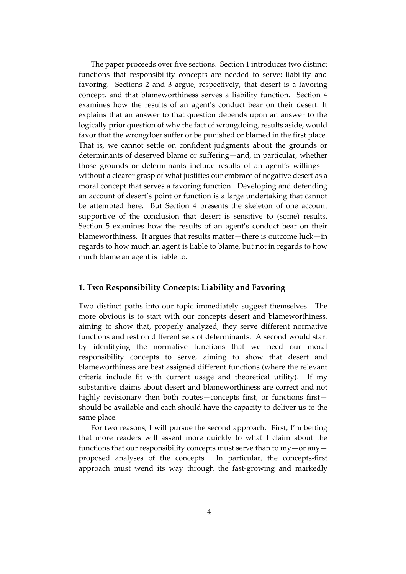The paper proceeds over five sections. Section 1 introduces two distinct functions that responsibility concepts are needed to serve: liability and favoring. Sections 2 and 3 argue, respectively, that desert is a favoring concept, and that blameworthiness serves a liability function. Section 4 examines how the results of an agent's conduct bear on their desert. It explains that an answer to that question depends upon an answer to the logically prior question of why the fact of wrongdoing, results aside, would favor that the wrongdoer suffer or be punished or blamed in the first place. That is, we cannot settle on confident judgments about the grounds or determinants of deserved blame or suffering—and, in particular, whether those grounds or determinants include results of an agent's willings without a clearer grasp of what justifies our embrace of negative desert as a moral concept that serves a favoring function. Developing and defending an account of desert's point or function is a large undertaking that cannot be attempted here. But Section 4 presents the skeleton of one account supportive of the conclusion that desert is sensitive to (some) results. Section 5 examines how the results of an agent's conduct bear on their blameworthiness. It argues that results matter—there is outcome luck—in regards to how much an agent is liable to blame, but not in regards to how much blame an agent is liable to.

# **1. Two Responsibility Concepts: Liability and Favoring**

Two distinct paths into our topic immediately suggest themselves. The more obvious is to start with our concepts desert and blameworthiness, aiming to show that, properly analyzed, they serve different normative functions and rest on different sets of determinants. A second would start by identifying the normative functions that we need our moral responsibility concepts to serve, aiming to show that desert and blameworthiness are best assigned different functions (where the relevant criteria include fit with current usage and theoretical utility). If my substantive claims about desert and blameworthiness are correct and not highly revisionary then both routes—concepts first, or functions first should be available and each should have the capacity to deliver us to the same place.

For two reasons, I will pursue the second approach. First, I'm betting that more readers will assent more quickly to what I claim about the functions that our responsibility concepts must serve than to  $my-$  or any  $$ proposed analyses of the concepts. In particular, the concepts-first approach must wend its way through the fast-growing and markedly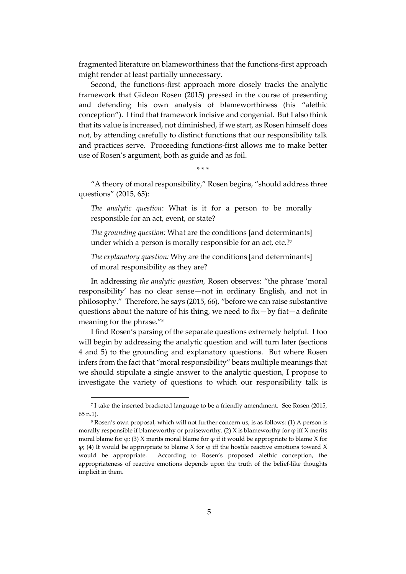fragmented literature on blameworthiness that the functions-first approach might render at least partially unnecessary.

Second, the functions-first approach more closely tracks the analytic framework that Gideon Rosen (2015) pressed in the course of presenting and defending his own analysis of blameworthiness (his "alethic conception"). I find that framework incisive and congenial. But I also think that its value is increased, not diminished, if we start, as Rosen himself does not, by attending carefully to distinct functions that our responsibility talk and practices serve. Proceeding functions-first allows me to make better use of Rosen's argument, both as guide and as foil.

\* \* \*

"A theory of moral responsibility," Rosen begins, "should address three questions" (2015, 65):

*The analytic question*: What is it for a person to be morally responsible for an act, event, or state?

*The grounding question:* What are the conditions [and determinants] under which a person is morally responsible for an act, etc.?<sup>7</sup>

*The explanatory question:* Why are the conditions [and determinants] of moral responsibility as they are?

In addressing *the analytic question,* Rosen observes: "the phrase 'moral responsibility' has no clear sense—not in ordinary English, and not in philosophy." Therefore, he says (2015, 66), "before we can raise substantive questions about the nature of his thing, we need to fix—by fiat—a definite meaning for the phrase."<sup>8</sup>

I find Rosen's parsing of the separate questions extremely helpful. I too will begin by addressing the analytic question and will turn later (sections 4 and 5) to the grounding and explanatory questions. But where Rosen infers from the fact that "moral responsibility" bears multiple meanings that we should stipulate a single answer to the analytic question, I propose to investigate the variety of questions to which our responsibility talk is

<sup>7</sup> I take the inserted bracketed language to be a friendly amendment. See Rosen (2015, 65 n.1).

<sup>8</sup> Rosen's own proposal, which will not further concern us, is as follows: (1) A person is morally responsible if blameworthy or praiseworthy. (2) X is blameworthy for  $\varphi$  iff X merits moral blame for  $\varphi$ ; (3) X merits moral blame for  $\varphi$  if it would be appropriate to blame X for φ; (4) It would be appropriate to blame X for φ iff the hostile reactive emotions toward X would be appropriate. According to Rosen's proposed alethic conception, the appropriateness of reactive emotions depends upon the truth of the belief-like thoughts implicit in them.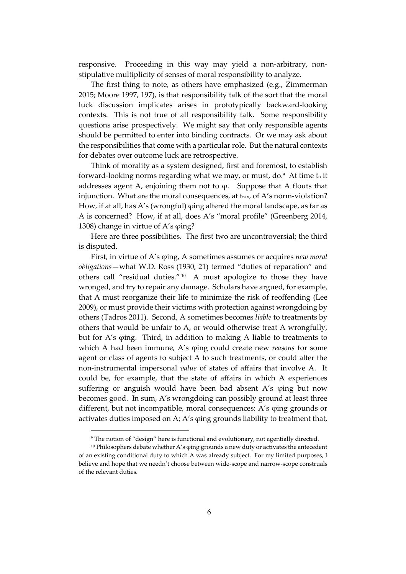responsive. Proceeding in this way may yield a non-arbitrary, nonstipulative multiplicity of senses of moral responsibility to analyze.

The first thing to note, as others have emphasized (e.g., Zimmerman 2015; Moore 1997, 197), is that responsibility talk of the sort that the moral luck discussion implicates arises in prototypically backward-looking contexts. This is not true of all responsibility talk. Some responsibility questions arise prospectively. We might say that only responsible agents should be permitted to enter into binding contracts. Or we may ask about the responsibilities that come with a particular role. But the natural contexts for debates over outcome luck are retrospective.

Think of morality as a system designed, first and foremost, to establish forward-looking norms regarding what we may, or must, do.<sup>9</sup> At time tn it addresses agent A, enjoining them not to  $\varphi$ . Suppose that A flouts that injunction. What are the moral consequences, at tn+x, of A's norm-violation? How, if at all, has A's (wrongful) φing altered the moral landscape, as far as A is concerned? How, if at all, does A's "moral profile" (Greenberg 2014, 1308) change in virtue of A's φing?

Here are three possibilities. The first two are uncontroversial; the third is disputed.

First, in virtue of A's φing, A sometimes assumes or acquires *new moral obligations*—what W.D. Ross (1930, 21) termed "duties of reparation" and others call "residual duties." 10 A must apologize to those they have wronged, and try to repair any damage. Scholars have argued, for example, that A must reorganize their life to minimize the risk of reoffending (Lee 2009), or must provide their victims with protection against wrongdoing by others (Tadros 2011). Second, A sometimes becomes *liable* to treatments by others that would be unfair to A, or would otherwise treat A wrongfully, but for A's φing. Third, in addition to making A liable to treatments to which A had been immune, A's φing could create new *reasons* for some agent or class of agents to subject A to such treatments, or could alter the non-instrumental impersonal *value* of states of affairs that involve A. It could be, for example, that the state of affairs in which A experiences suffering or anguish would have been bad absent A's φing but now becomes good. In sum, A's wrongdoing can possibly ground at least three different, but not incompatible, moral consequences: A's φing grounds or activates duties imposed on A; A's φing grounds liability to treatment that,

<sup>&</sup>lt;sup>9</sup> The notion of "design" here is functional and evolutionary, not agentially directed.

<sup>&</sup>lt;sup>10</sup> Philosophers debate whether A's φing grounds a new duty or activates the antecedent of an existing conditional duty to which A was already subject. For my limited purposes, I believe and hope that we needn't choose between wide-scope and narrow-scope construals of the relevant duties.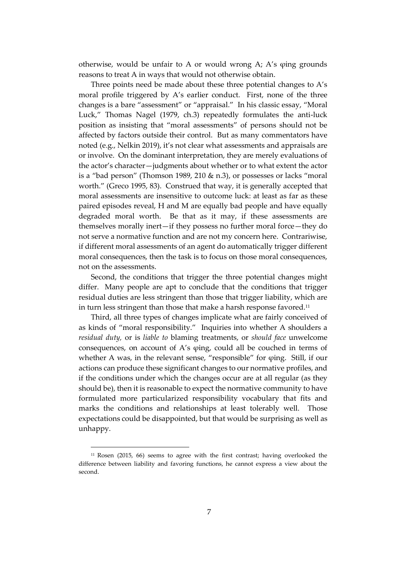otherwise, would be unfair to A or would wrong A; A's φing grounds reasons to treat A in ways that would not otherwise obtain.

Three points need be made about these three potential changes to A's moral profile triggered by A's earlier conduct. First, none of the three changes is a bare "assessment" or "appraisal." In his classic essay, "Moral Luck," Thomas Nagel (1979, ch.3) repeatedly formulates the anti-luck position as insisting that "moral assessments" of persons should not be affected by factors outside their control. But as many commentators have noted (e.g., Nelkin 2019), it's not clear what assessments and appraisals are or involve. On the dominant interpretation, they are merely evaluations of the actor's character—judgments about whether or to what extent the actor is a "bad person" (Thomson 1989, 210 & n.3), or possesses or lacks "moral worth." (Greco 1995, 83). Construed that way, it is generally accepted that moral assessments are insensitive to outcome luck: at least as far as these paired episodes reveal, H and M are equally bad people and have equally degraded moral worth. Be that as it may, if these assessments are themselves morally inert—if they possess no further moral force—they do not serve a normative function and are not my concern here. Contrariwise, if different moral assessments of an agent do automatically trigger different moral consequences, then the task is to focus on those moral consequences, not on the assessments.

Second, the conditions that trigger the three potential changes might differ. Many people are apt to conclude that the conditions that trigger residual duties are less stringent than those that trigger liability, which are in turn less stringent than those that make a harsh response favored.<sup>11</sup>

Third, all three types of changes implicate what are fairly conceived of as kinds of "moral responsibility." Inquiries into whether A shoulders a *residual duty,* or is *liable to* blaming treatments, or *should face* unwelcome consequences, on account of A's φing, could all be couched in terms of whether A was, in the relevant sense, "responsible" for φing. Still, if our actions can produce these significant changes to our normative profiles, and if the conditions under which the changes occur are at all regular (as they should be), then it is reasonable to expect the normative community to have formulated more particularized responsibility vocabulary that fits and marks the conditions and relationships at least tolerably well. Those expectations could be disappointed, but that would be surprising as well as unhappy.

<sup>11</sup> Rosen (2015, 66) seems to agree with the first contrast; having overlooked the difference between liability and favoring functions, he cannot express a view about the second.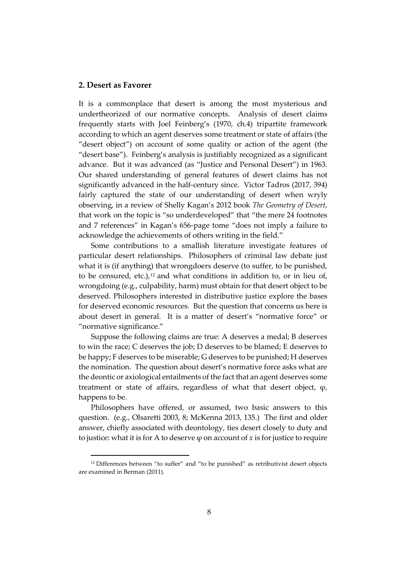# **2. Desert as Favorer**

It is a commonplace that desert is among the most mysterious and undertheorized of our normative concepts. Analysis of desert claims frequently starts with Joel Feinberg's (1970, ch.4) tripartite framework according to which an agent deserves some treatment or state of affairs (the "desert object") on account of some quality or action of the agent (the "desert base"). Feinberg's analysis is justifiably recognized as a significant advance. But it was advanced (as "Justice and Personal Desert") in 1963. Our shared understanding of general features of desert claims has not significantly advanced in the half-century since. Victor Tadros (2017, 394) fairly captured the state of our understanding of desert when wryly observing, in a review of Shelly Kagan's 2012 book *The Geometry of Desert,* that work on the topic is "so underdeveloped" that "the mere 24 footnotes and 7 references" in Kagan's 656-page tome "does not imply a failure to acknowledge the achievements of others writing in the field."

Some contributions to a smallish literature investigate features of particular desert relationships. Philosophers of criminal law debate just what it is (if anything) that wrongdoers deserve (to suffer, to be punished, to be censured, etc.), $12$  and what conditions in addition to, or in lieu of, wrongdoing (e.g., culpability, harm) must obtain for that desert object to be deserved. Philosophers interested in distributive justice explore the bases for deserved economic resources. But the question that concerns us here is about desert in general. It is a matter of desert's "normative force" or "normative significance."

Suppose the following claims are true: A deserves a medal; B deserves to win the race; C deserves the job; D deserves to be blamed; E deserves to be happy; F deserves to be miserable; G deserves to be punished; H deserves the nomination. The question about desert's normative force asks what are the deontic or axiological entailments of the fact that an agent deserves some treatment or state of affairs, regardless of what that desert object, φ, happens to be.

Philosophers have offered, or assumed, two basic answers to this question. (e.g., Olsaretti 2003, 8; McKenna 2013, 135.) The first and older answer, chiefly associated with deontology, ties desert closely to duty and to justice: what it is for A to deserve φ on account of *x* is for justice to require

<sup>&</sup>lt;sup>12</sup> Differences between "to suffer" and "to be punished" as retributivist desert objects are examined in Berman (2011).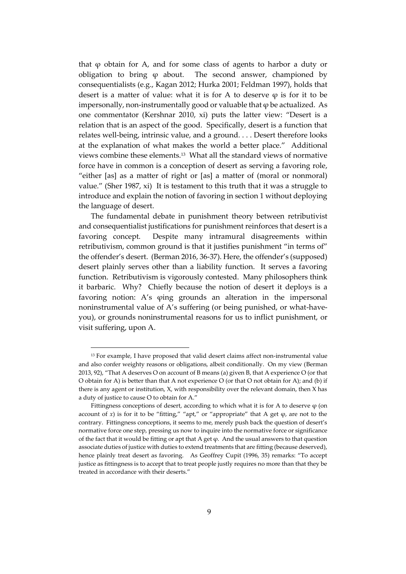that φ obtain for A, and for some class of agents to harbor a duty or obligation to bring  $\varphi$  about. The second answer, championed by consequentialists (e.g., Kagan 2012; Hurka 2001; Feldman 1997), holds that desert is a matter of value: what it is for A to deserve  $\varphi$  is for it to be impersonally, non-instrumentally good or valuable that  $\varphi$  be actualized. As one commentator (Kershnar 2010, xi) puts the latter view: "Desert is a relation that is an aspect of the good. Specifically, desert is a function that relates well-being, intrinsic value, and a ground. . . . Desert therefore looks at the explanation of what makes the world a better place." Additional views combine these elements.<sup>13</sup> What all the standard views of normative force have in common is a conception of desert as serving a favoring role, "either [as] as a matter of right or [as] a matter of (moral or nonmoral) value." (Sher 1987, xi) It is testament to this truth that it was a struggle to introduce and explain the notion of favoring in section 1 without deploying the language of desert.

The fundamental debate in punishment theory between retributivist and consequentialist justifications for punishment reinforces that desert is a favoring concept. Despite many intramural disagreements within retributivism, common ground is that it justifies punishment "in terms of" the offender's desert. (Berman 2016, 36-37). Here, the offender's (supposed) desert plainly serves other than a liability function. It serves a favoring function. Retributivism is vigorously contested. Many philosophers think it barbaric. Why? Chiefly because the notion of desert it deploys is a favoring notion: A's φing grounds an alteration in the impersonal noninstrumental value of A's suffering (or being punished, or what-haveyou), or grounds noninstrumental reasons for us to inflict punishment, or visit suffering, upon A.

<sup>&</sup>lt;sup>13</sup> For example, I have proposed that valid desert claims affect non-instrumental value and also confer weighty reasons or obligations, albeit conditionally. On my view (Berman 2013, 92), "That A deserves O on account of B means (a) given B, that A experience O (or that O obtain for A) is better than that A not experience O (or that O not obtain for A); and (b) if there is any agent or institution, X, with responsibility over the relevant domain, then X has a duty of justice to cause O to obtain for A."

Fittingness conceptions of desert, according to which what it is for A to deserve  $\varphi$  (on account of *x*) is for it to be "fitting," "apt," or "appropriate" that A get  $\varphi$ , are not to the contrary. Fittingness conceptions, it seems to me, merely push back the question of desert's normative force one step, pressing us now to inquire into the normative force or significance of the fact that it would be fitting or apt that A get  $\varphi$ . And the usual answers to that question associate duties of justice with duties to extend treatments that are fitting (because deserved), hence plainly treat desert as favoring. As Geoffrey Cupit (1996, 35) remarks: "To accept justice as fittingness is to accept that to treat people justly requires no more than that they be treated in accordance with their deserts."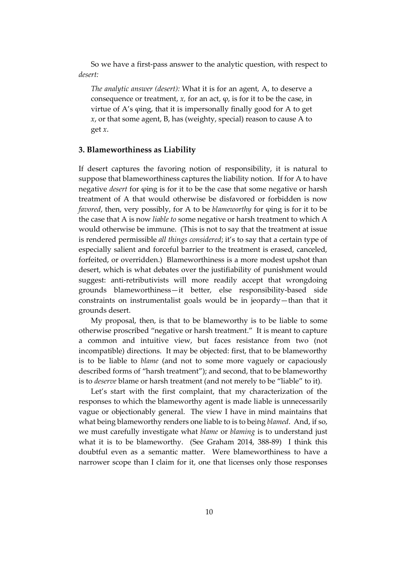So we have a first-pass answer to the analytic question, with respect to *desert:*

*The analytic answer (desert):* What it is for an agent, A, to deserve a consequence or treatment,  $x$ , for an act,  $\varphi$ , is for it to be the case, in virtue of A's φing, that it is impersonally finally good for A to get *x*, or that some agent, B, has (weighty, special) reason to cause A to get *x*.

### **3. Blameworthiness as Liability**

If desert captures the favoring notion of responsibility, it is natural to suppose that blameworthiness captures the liability notion. If for A to have negative *desert* for φing is for it to be the case that some negative or harsh treatment of A that would otherwise be disfavored or forbidden is now *favored*, then, very possibly, for A to be *blameworthy* for φing is for it to be the case that A is now *liable to* some negative or harsh treatment to which A would otherwise be immune. (This is not to say that the treatment at issue is rendered permissible *all things considered*; it's to say that a certain type of especially salient and forceful barrier to the treatment is erased, canceled, forfeited, or overridden.) Blameworthiness is a more modest upshot than desert, which is what debates over the justifiability of punishment would suggest: anti-retributivists will more readily accept that wrongdoing grounds blameworthiness—it better, else responsibility-based side constraints on instrumentalist goals would be in jeopardy—than that it grounds desert.

My proposal, then, is that to be blameworthy is to be liable to some otherwise proscribed "negative or harsh treatment." It is meant to capture a common and intuitive view, but faces resistance from two (not incompatible) directions. It may be objected: first, that to be blameworthy is to be liable to *blame* (and not to some more vaguely or capaciously described forms of "harsh treatment"); and second, that to be blameworthy is to *deserve* blame or harsh treatment (and not merely to be "liable" to it).

Let's start with the first complaint, that my characterization of the responses to which the blameworthy agent is made liable is unnecessarily vague or objectionably general. The view I have in mind maintains that what being blameworthy renders one liable to is to being *blamed*. And, if so, we must carefully investigate what *blame* or *blaming* is to understand just what it is to be blameworthy. (See Graham 2014, 388-89) I think this doubtful even as a semantic matter. Were blameworthiness to have a narrower scope than I claim for it, one that licenses only those responses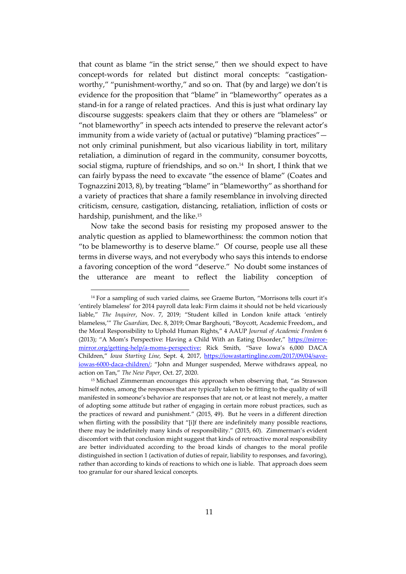that count as blame "in the strict sense," then we should expect to have concept-words for related but distinct moral concepts: "castigationworthy," "punishment-worthy," and so on. That (by and large) we don't is evidence for the proposition that "blame" in "blameworthy" operates as a stand-in for a range of related practices. And this is just what ordinary lay discourse suggests: speakers claim that they or others are "blameless" or "not blameworthy" in speech acts intended to preserve the relevant actor's immunity from a wide variety of (actual or putative) "blaming practices" not only criminal punishment, but also vicarious liability in tort, military retaliation, a diminution of regard in the community, consumer boycotts, social stigma, rupture of friendships, and so on.<sup>14</sup> In short, I think that we can fairly bypass the need to excavate "the essence of blame" (Coates and Tognazzini 2013, 8), by treating "blame" in "blameworthy" as shorthand for a variety of practices that share a family resemblance in involving directed criticism, censure, castigation, distancing, retaliation, infliction of costs or hardship, punishment, and the like. 15

Now take the second basis for resisting my proposed answer to the analytic question as applied to blameworthiness: the common notion that "to be blameworthy is to deserve blame." Of course, people use all these terms in diverse ways, and not everybody who says this intends to endorse a favoring conception of the word "deserve." No doubt some instances of the utterance are meant to reflect the liability conception of

<sup>&</sup>lt;sup>14</sup> For a sampling of such varied claims, see Graeme Burton, "Morrisons tells court it's 'entirely blameless' for 2014 payroll data leak: Firm claims it should not be held vicariously liable," *The Inquirer*, Nov. 7, 2019; "Student killed in London knife attack 'entirely blameless,'" *The Guardian,* Dec. 8, 2019; Omar Barghouti, "Boycott, Academic Freedom,, and the Moral Responsibility to Uphold Human Rights," 4 AAUP *Journal of Academic Freedom* 6 (2013); "A Mom's Perspective: Having a Child With an Eating Disorder," [https://mirror](https://mirror-mirror.org/getting-help/a-moms-perspective)[mirror.org/getting-help/a-moms-perspective](https://mirror-mirror.org/getting-help/a-moms-perspective); Rick Smith, "Save Iowa's 6,000 DACA Children," *Iowa Starting Line,* Sept. 4, 2017, [https://iowastartingline.com/2017/09/04/save](https://iowastartingline.com/2017/09/04/save-iowas-6000-daca-children/)[iowas-6000-daca-children/;](https://iowastartingline.com/2017/09/04/save-iowas-6000-daca-children/) "John and Munger suspended, Merwe withdraws appeal, no action on Tan," *The New Paper,* Oct. 27, 2020.

<sup>15</sup> Michael Zimmerman encourages this approach when observing that, "as Strawson himself notes, among the responses that are typically taken to be fitting to the quality of will manifested in someone's behavior are responses that are not, or at least not merely, a matter of adopting some attitude but rather of engaging in certain more robust practices, such as the practices of reward and punishment." (2015, 49). But he veers in a different direction when flirting with the possibility that "[i]f there are indefinitely many possible reactions, there may be indefinitely many kinds of responsibility." (2015, 60). Zimmerman's evident discomfort with that conclusion might suggest that kinds of retroactive moral responsibility are better individuated according to the broad kinds of changes to the moral profile distinguished in section 1 (activation of duties of repair, liability to responses, and favoring), rather than according to kinds of reactions to which one is liable. That approach does seem too granular for our shared lexical concepts.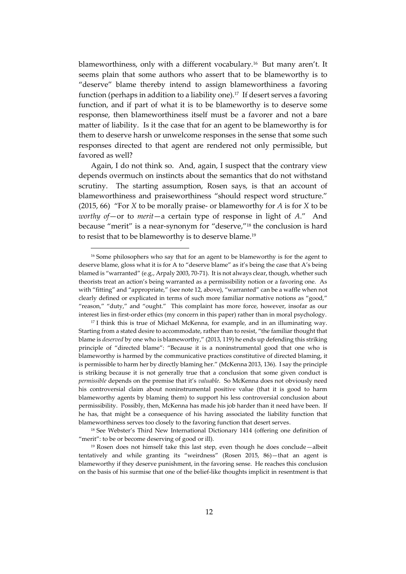blameworthiness, only with a different vocabulary.<sup>16</sup> But many aren't. It seems plain that some authors who assert that to be blameworthy is to "deserve" blame thereby intend to assign blameworthiness a favoring function (perhaps in addition to a liability one).<sup>17</sup> If desert serves a favoring function, and if part of what it is to be blameworthy is to deserve some response, then blameworthiness itself must be a favorer and not a bare matter of liability. Is it the case that for an agent to be blameworthy is for them to deserve harsh or unwelcome responses in the sense that some such responses directed to that agent are rendered not only permissible, but favored as well?

Again, I do not think so. And, again, I suspect that the contrary view depends overmuch on instincts about the semantics that do not withstand scrutiny. The starting assumption, Rosen says, is that an account of blameworthiness and praiseworthiness "should respect word structure." (2015, 66) "For *X* to be morally praise- or blameworthy for *A* is for *X* to be *worthy of*—or to *merit*—a certain type of response in light of *A*." And because "merit" is a near-synonym for "deserve," <sup>18</sup> the conclusion is hard to resist that to be blameworthy is to deserve blame.<sup>19</sup>

<sup>&</sup>lt;sup>16</sup> Some philosophers who say that for an agent to be blameworthy is for the agent to deserve blame, gloss what it is for A to "deserve blame" as it's being the case that A's being blamed is "warranted" (e.g., Arpaly 2003, 70-71). It is not always clear, though, whether such theorists treat an action's being warranted as a permissibility notion or a favoring one. As with "fitting" and "appropriate," (see note 12, above), "warranted" can be a waffle when not clearly defined or explicated in terms of such more familiar normative notions as "good," "reason," "duty," and "ought." This complaint has more force, however, insofar as our interest lies in first-order ethics (my concern in this paper) rather than in moral psychology.

<sup>&</sup>lt;sup>17</sup> I think this is true of Michael McKenna, for example, and in an illuminating way. Starting from a stated desire to accommodate, rather than to resist, "the familiar thought that blame is *deserved* by one who is blameworthy," (2013, 119) he ends up defending this striking principle of "directed blame": "Because it is a noninstrumental good that one who is blameworthy is harmed by the communicative practices constitutive of directed blaming, it is permissible to harm her by directly blaming her." (McKenna 2013, 136). I say the principle is striking because it is not generally true that a conclusion that some given conduct is *permissible* depends on the premise that it's *valuable*. So McKenna does not obviously need his controversial claim about noninstrumental positive value (that it is good to harm blameworthy agents by blaming them) to support his less controversial conclusion about permissibility. Possibly, then, McKenna has made his job harder than it need have been. If he has, that might be a consequence of his having associated the liability function that blameworthiness serves too closely to the favoring function that desert serves.

<sup>18</sup> See Webster's Third New International Dictionary 1414 (offering one definition of "merit": to be or become deserving of good or ill).

<sup>&</sup>lt;sup>19</sup> Rosen does not himself take this last step, even though he does conclude—albeit tentatively and while granting its "weirdness" (Rosen 2015, 86)—that an agent is blameworthy if they deserve punishment, in the favoring sense. He reaches this conclusion on the basis of his surmise that one of the belief-like thoughts implicit in resentment is that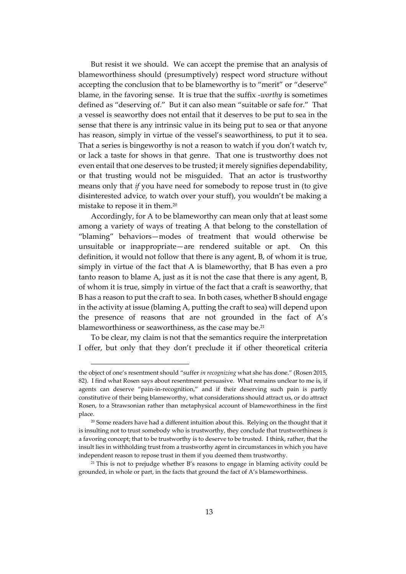But resist it we should. We can accept the premise that an analysis of blameworthiness should (presumptively) respect word structure without accepting the conclusion that to be blameworthy is to "merit" or "deserve" blame, in the favoring sense. It is true that the suffix -*worthy* is sometimes defined as "deserving of." But it can also mean "suitable or safe for." That a vessel is seaworthy does not entail that it deserves to be put to sea in the sense that there is any intrinsic value in its being put to sea or that anyone has reason, simply in virtue of the vessel's seaworthiness, to put it to sea. That a series is bingeworthy is not a reason to watch if you don't watch tv, or lack a taste for shows in that genre. That one is trustworthy does not even entail that one deserves to be trusted; it merely signifies dependability, or that trusting would not be misguided. That an actor is trustworthy means only that *if* you have need for somebody to repose trust in (to give disinterested advice, to watch over your stuff), you wouldn't be making a mistake to repose it in them. $^{20}$ 

Accordingly, for A to be blameworthy can mean only that at least some among a variety of ways of treating A that belong to the constellation of "blaming" behaviors—modes of treatment that would otherwise be unsuitable or inappropriate—are rendered suitable or apt. On this definition, it would not follow that there is any agent, B, of whom it is true, simply in virtue of the fact that A is blameworthy, that B has even a pro tanto reason to blame A, just as it is not the case that there is any agent, B, of whom it is true, simply in virtue of the fact that a craft is seaworthy, that B has a reason to put the craft to sea. In both cases, whether B should engage in the activity at issue (blaming A, putting the craft to sea) will depend upon the presence of reasons that are not grounded in the fact of A's blameworthiness or seaworthiness, as the case may be.<sup>21</sup>

To be clear, my claim is not that the semantics require the interpretation I offer, but only that they don't preclude it if other theoretical criteria

the object of one's resentment should "suffer *in recognizing* what she has done." (Rosen 2015, 82). I find what Rosen says about resentment persuasive. What remains unclear to me is, if agents can deserve "pain-in-recognition," and if their deserving such pain is partly constitutive of their being blameworthy, what considerations should attract us, or do attract Rosen, to a Strawsonian rather than metaphysical account of blameworthiness in the first place.

<sup>&</sup>lt;sup>20</sup> Some readers have had a different intuition about this. Relying on the thought that it is insulting not to trust somebody who is trustworthy, they conclude that trustworthiness *is* a favoring concept; that to be trustworthy is to deserve to be trusted. I think, rather, that the insult lies in withholding trust from a trustworthy agent in circumstances in which you have independent reason to repose trust in them if you deemed them trustworthy.

<sup>&</sup>lt;sup>21</sup> This is not to prejudge whether B's reasons to engage in blaming activity could be grounded, in whole or part, in the facts that ground the fact of A's blameworthiness.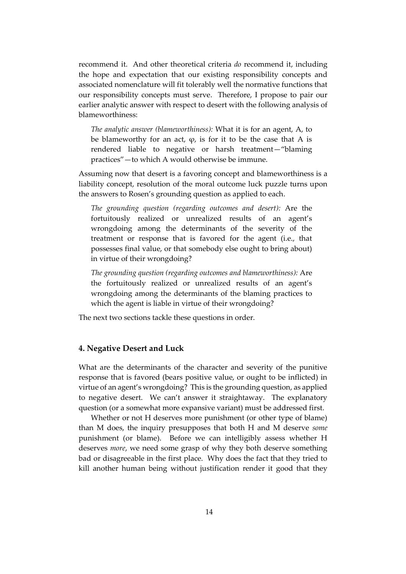recommend it. And other theoretical criteria *do* recommend it, including the hope and expectation that our existing responsibility concepts and associated nomenclature will fit tolerably well the normative functions that our responsibility concepts must serve. Therefore, I propose to pair our earlier analytic answer with respect to desert with the following analysis of blameworthiness:

*The analytic answer (blameworthiness):* What it is for an agent, A, to be blameworthy for an act,  $\varphi$ , is for it to be the case that A is rendered liable to negative or harsh treatment—"blaming practices"—to which A would otherwise be immune.

Assuming now that desert is a favoring concept and blameworthiness is a liability concept, resolution of the moral outcome luck puzzle turns upon the answers to Rosen's grounding question as applied to each.

*The grounding question (regarding outcomes and desert):* Are the fortuitously realized or unrealized results of an agent's wrongdoing among the determinants of the severity of the treatment or response that is favored for the agent (i.e., that possesses final value, or that somebody else ought to bring about) in virtue of their wrongdoing?

*The grounding question (regarding outcomes and blameworthiness):* Are the fortuitously realized or unrealized results of an agent's wrongdoing among the determinants of the blaming practices to which the agent is liable in virtue of their wrongdoing?

The next two sections tackle these questions in order.

# **4. Negative Desert and Luck**

What are the determinants of the character and severity of the punitive response that is favored (bears positive value, or ought to be inflicted) in virtue of an agent's wrongdoing? This is the grounding question, as applied to negative desert. We can't answer it straightaway. The explanatory question (or a somewhat more expansive variant) must be addressed first.

Whether or not H deserves more punishment (or other type of blame) than M does, the inquiry presupposes that both H and M deserve *some* punishment (or blame). Before we can intelligibly assess whether H deserves *more*, we need some grasp of why they both deserve something bad or disagreeable in the first place. Why does the fact that they tried to kill another human being without justification render it good that they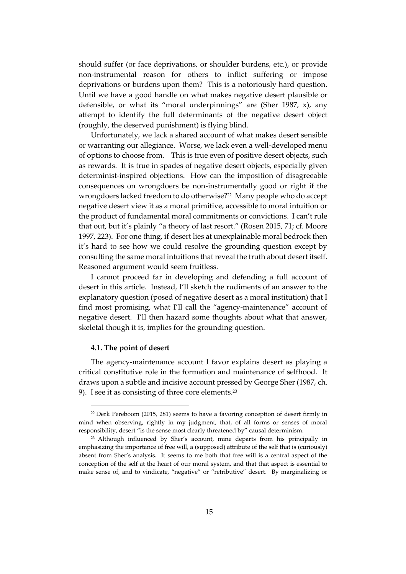should suffer (or face deprivations, or shoulder burdens, etc.), or provide non-instrumental reason for others to inflict suffering or impose deprivations or burdens upon them? This is a notoriously hard question. Until we have a good handle on what makes negative desert plausible or defensible, or what its "moral underpinnings" are (Sher 1987, x), any attempt to identify the full determinants of the negative desert object (roughly, the deserved punishment) is flying blind.

Unfortunately, we lack a shared account of what makes desert sensible or warranting our allegiance. Worse, we lack even a well-developed menu of options to choose from. This is true even of positive desert objects, such as rewards. It is true in spades of negative desert objects, especially given determinist-inspired objections. How can the imposition of disagreeable consequences on wrongdoers be non-instrumentally good or right if the wrongdoers lacked freedom to do otherwise?<sup>22</sup> Many people who do accept negative desert view it as a moral primitive, accessible to moral intuition or the product of fundamental moral commitments or convictions. I can't rule that out, but it's plainly "a theory of last resort." (Rosen 2015, 71; cf. Moore 1997, 223). For one thing, if desert lies at unexplainable moral bedrock then it's hard to see how we could resolve the grounding question except by consulting the same moral intuitions that reveal the truth about desert itself. Reasoned argument would seem fruitless.

I cannot proceed far in developing and defending a full account of desert in this article. Instead, I'll sketch the rudiments of an answer to the explanatory question (posed of negative desert as a moral institution) that I find most promising, what I'll call the "agency-maintenance" account of negative desert. I'll then hazard some thoughts about what that answer, skeletal though it is, implies for the grounding question.

#### **4.1. The point of desert**

The agency-maintenance account I favor explains desert as playing a critical constitutive role in the formation and maintenance of selfhood. It draws upon a subtle and incisive account pressed by George Sher (1987, ch. 9). I see it as consisting of three core elements.<sup>23</sup>

 $22$  Derk Pereboom (2015, 281) seems to have a favoring conception of desert firmly in mind when observing, rightly in my judgment, that, of all forms or senses of moral responsibility, desert "is the sense most clearly threatened by" causal determinism.

<sup>&</sup>lt;sup>23</sup> Although influenced by Sher's account, mine departs from his principally in emphasizing the importance of free will, a (supposed) attribute of the self that is (curiously) absent from Sher's analysis. It seems to me both that free will is a central aspect of the conception of the self at the heart of our moral system, and that that aspect is essential to make sense of, and to vindicate, "negative" or "retributive" desert. By marginalizing or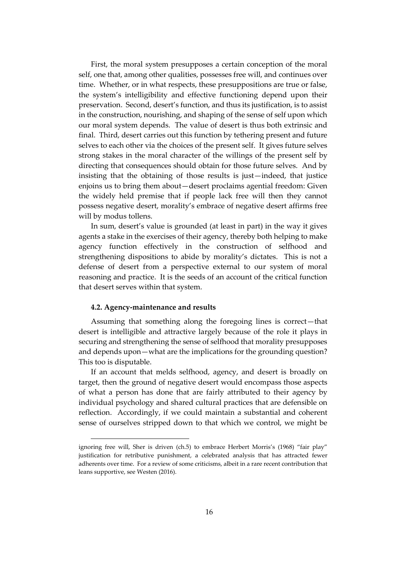First, the moral system presupposes a certain conception of the moral self, one that, among other qualities, possesses free will, and continues over time. Whether, or in what respects, these presuppositions are true or false, the system's intelligibility and effective functioning depend upon their preservation. Second, desert's function, and thus its justification, is to assist in the construction, nourishing, and shaping of the sense of self upon which our moral system depends. The value of desert is thus both extrinsic and final. Third, desert carries out this function by tethering present and future selves to each other via the choices of the present self. It gives future selves strong stakes in the moral character of the willings of the present self by directing that consequences should obtain for those future selves. And by insisting that the obtaining of those results is just—indeed, that justice enjoins us to bring them about—desert proclaims agential freedom: Given the widely held premise that if people lack free will then they cannot possess negative desert, morality's embrace of negative desert affirms free will by modus tollens.

In sum, desert's value is grounded (at least in part) in the way it gives agents a stake in the exercises of their agency, thereby both helping to make agency function effectively in the construction of selfhood and strengthening dispositions to abide by morality's dictates. This is not a defense of desert from a perspective external to our system of moral reasoning and practice. It is the seeds of an account of the critical function that desert serves within that system.

#### **4.2. Agency-maintenance and results**

Assuming that something along the foregoing lines is correct—that desert is intelligible and attractive largely because of the role it plays in securing and strengthening the sense of selfhood that morality presupposes and depends upon—what are the implications for the grounding question? This too is disputable.

If an account that melds selfhood, agency, and desert is broadly on target, then the ground of negative desert would encompass those aspects of what a person has done that are fairly attributed to their agency by individual psychology and shared cultural practices that are defensible on reflection. Accordingly, if we could maintain a substantial and coherent sense of ourselves stripped down to that which we control, we might be

ignoring free will, Sher is driven (ch.5) to embrace Herbert Morris's (1968) "fair play" justification for retributive punishment, a celebrated analysis that has attracted fewer adherents over time. For a review of some criticisms, albeit in a rare recent contribution that leans supportive, see Westen (2016).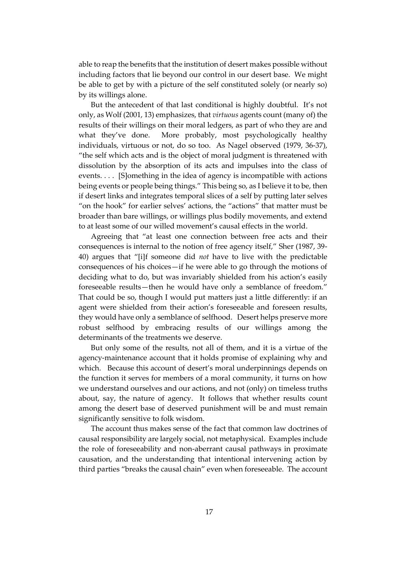able to reap the benefits that the institution of desert makes possible without including factors that lie beyond our control in our desert base. We might be able to get by with a picture of the self constituted solely (or nearly so) by its willings alone.

But the antecedent of that last conditional is highly doubtful. It's not only, as Wolf (2001, 13) emphasizes, that *virtuous* agents count (many of) the results of their willings on their moral ledgers, as part of who they are and what they've done. More probably, most psychologically healthy individuals, virtuous or not, do so too. As Nagel observed (1979, 36-37), "the self which acts and is the object of moral judgment is threatened with dissolution by the absorption of its acts and impulses into the class of events. . . . [S]omething in the idea of agency is incompatible with actions being events or people being things." This being so, as I believe it to be, then if desert links and integrates temporal slices of a self by putting later selves "on the hook" for earlier selves' actions, the "actions" that matter must be broader than bare willings, or willings plus bodily movements, and extend to at least some of our willed movement's causal effects in the world.

Agreeing that "at least one connection between free acts and their consequences is internal to the notion of free agency itself," Sher (1987, 39- 40) argues that "[i]f someone did *not* have to live with the predictable consequences of his choices—if he were able to go through the motions of deciding what to do, but was invariably shielded from his action's easily foreseeable results—then he would have only a semblance of freedom." That could be so, though I would put matters just a little differently: if an agent were shielded from their action's foreseeable and foreseen results, they would have only a semblance of selfhood. Desert helps preserve more robust selfhood by embracing results of our willings among the determinants of the treatments we deserve.

But only some of the results, not all of them, and it is a virtue of the agency-maintenance account that it holds promise of explaining why and which. Because this account of desert's moral underpinnings depends on the function it serves for members of a moral community, it turns on how we understand ourselves and our actions, and not (only) on timeless truths about, say, the nature of agency. It follows that whether results count among the desert base of deserved punishment will be and must remain significantly sensitive to folk wisdom.

The account thus makes sense of the fact that common law doctrines of causal responsibility are largely social, not metaphysical. Examples include the role of foreseeability and non-aberrant causal pathways in proximate causation, and the understanding that intentional intervening action by third parties "breaks the causal chain" even when foreseeable. The account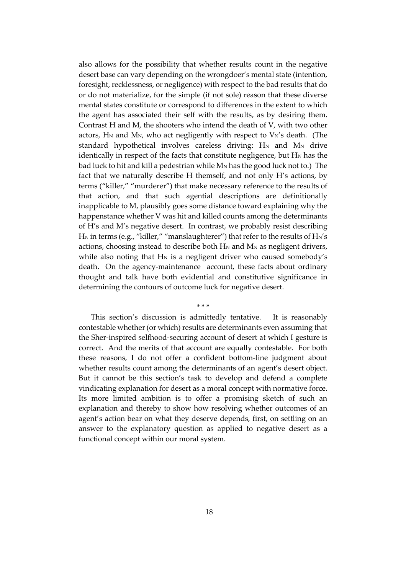also allows for the possibility that whether results count in the negative desert base can vary depending on the wrongdoer's mental state (intention, foresight, recklessness, or negligence) with respect to the bad results that do or do not materialize, for the simple (if not sole) reason that these diverse mental states constitute or correspond to differences in the extent to which the agent has associated their self with the results, as by desiring them. Contrast H and M, the shooters who intend the death of V, with two other actors,  $H_N$  and  $M_N$ , who act negligently with respect to  $V_N$ 's death. (The standard hypothetical involves careless driving:  $H_N$  and  $M_N$  drive identically in respect of the facts that constitute negligence, but  $H_N$  has the bad luck to hit and kill a pedestrian while  $M_N$  has the good luck not to.) The fact that we naturally describe H themself, and not only H's actions, by terms ("killer," "murderer") that make necessary reference to the results of that action, and that such agential descriptions are definitionally inapplicable to M, plausibly goes some distance toward explaining why the happenstance whether V was hit and killed counts among the determinants of H's and M's negative desert. In contrast, we probably resist describing H<sub>N</sub> in terms (e.g., "killer," "manslaughterer") that refer to the results of H<sub>N</sub>'s actions, choosing instead to describe both H<sub>N</sub> and M<sub>N</sub> as negligent drivers, while also noting that  $H_N$  is a negligent driver who caused somebody's death. On the agency-maintenance account, these facts about ordinary thought and talk have both evidential and constitutive significance in determining the contours of outcome luck for negative desert.

This section's discussion is admittedly tentative. It is reasonably contestable whether (or which) results are determinants even assuming that the Sher-inspired selfhood-securing account of desert at which I gesture is correct. And the merits of that account are equally contestable. For both these reasons, I do not offer a confident bottom-line judgment about whether results count among the determinants of an agent's desert object. But it cannot be this section's task to develop and defend a complete vindicating explanation for desert as a moral concept with normative force. Its more limited ambition is to offer a promising sketch of such an explanation and thereby to show how resolving whether outcomes of an agent's action bear on what they deserve depends, first, on settling on an answer to the explanatory question as applied to negative desert as a functional concept within our moral system.

\* \* \*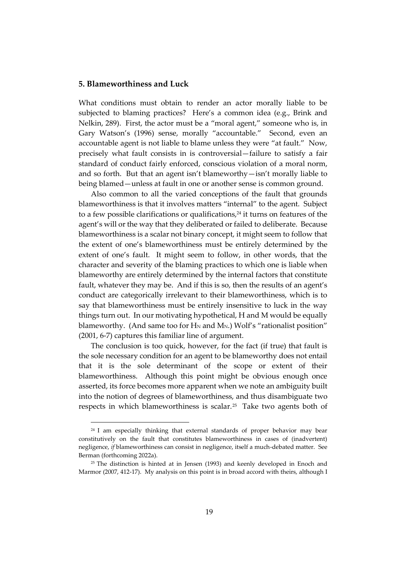### **5. Blameworthiness and Luck**

What conditions must obtain to render an actor morally liable to be subjected to blaming practices? Here's a common idea (e.g., Brink and Nelkin, 289). First, the actor must be a "moral agent," someone who is, in Gary Watson's (1996) sense, morally "accountable." Second, even an accountable agent is not liable to blame unless they were "at fault." Now, precisely what fault consists in is controversial—failure to satisfy a fair standard of conduct fairly enforced, conscious violation of a moral norm, and so forth. But that an agent isn't blameworthy—isn't morally liable to being blamed—unless at fault in one or another sense is common ground.

Also common to all the varied conceptions of the fault that grounds blameworthiness is that it involves matters "internal" to the agent. Subject to a few possible clarifications or qualifications, $24$  it turns on features of the agent's will or the way that they deliberated or failed to deliberate. Because blameworthiness is a scalar not binary concept, it might seem to follow that the extent of one's blameworthiness must be entirely determined by the extent of one's fault. It might seem to follow, in other words, that the character and severity of the blaming practices to which one is liable when blameworthy are entirely determined by the internal factors that constitute fault, whatever they may be. And if this is so, then the results of an agent's conduct are categorically irrelevant to their blameworthiness, which is to say that blameworthiness must be entirely insensitive to luck in the way things turn out. In our motivating hypothetical, H and M would be equally blameworthy. (And same too for H<sub>N</sub> and M<sub>N</sub>.) Wolf's "rationalist position" (2001, 6-7) captures this familiar line of argument.

The conclusion is too quick, however, for the fact (if true) that fault is the sole necessary condition for an agent to be blameworthy does not entail that it is the sole determinant of the scope or extent of their blameworthiness. Although this point might be obvious enough once asserted, its force becomes more apparent when we note an ambiguity built into the notion of degrees of blameworthiness, and thus disambiguate two respects in which blameworthiness is scalar.<sup>25</sup> Take two agents both of

<sup>&</sup>lt;sup>24</sup> I am especially thinking that external standards of proper behavior may bear constitutively on the fault that constitutes blameworthiness in cases of (inadvertent) negligence, *if* blameworthiness can consist in negligence, itself a much-debated matter. See Berman (forthcoming 2022a).

 $25$  The distinction is hinted at in Jensen (1993) and keenly developed in Enoch and Marmor (2007, 412-17). My analysis on this point is in broad accord with theirs, although I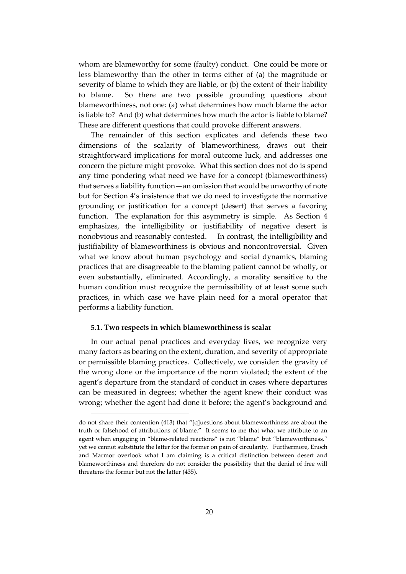whom are blameworthy for some (faulty) conduct. One could be more or less blameworthy than the other in terms either of (a) the magnitude or severity of blame to which they are liable, or (b) the extent of their liability to blame. So there are two possible grounding questions about blameworthiness, not one: (a) what determines how much blame the actor is liable to? And (b) what determines how much the actor is liable to blame? These are different questions that could provoke different answers.

The remainder of this section explicates and defends these two dimensions of the scalarity of blameworthiness, draws out their straightforward implications for moral outcome luck, and addresses one concern the picture might provoke. What this section does not do is spend any time pondering what need we have for a concept (blameworthiness) that serves a liability function—an omission that would be unworthy of note but for Section 4's insistence that we do need to investigate the normative grounding or justification for a concept (desert) that serves a favoring function. The explanation for this asymmetry is simple. As Section 4 emphasizes, the intelligibility or justifiability of negative desert is nonobvious and reasonably contested. In contrast, the intelligibility and justifiability of blameworthiness is obvious and noncontroversial. Given what we know about human psychology and social dynamics, blaming practices that are disagreeable to the blaming patient cannot be wholly, or even substantially, eliminated. Accordingly, a morality sensitive to the human condition must recognize the permissibility of at least some such practices, in which case we have plain need for a moral operator that performs a liability function.

### **5.1. Two respects in which blameworthiness is scalar**

In our actual penal practices and everyday lives, we recognize very many factors as bearing on the extent, duration, and severity of appropriate or permissible blaming practices. Collectively, we consider: the gravity of the wrong done or the importance of the norm violated; the extent of the agent's departure from the standard of conduct in cases where departures can be measured in degrees; whether the agent knew their conduct was wrong; whether the agent had done it before; the agent's background and

do not share their contention (413) that "[q]uestions about blameworthiness are about the truth or falsehood of attributions of blame." It seems to me that what we attribute to an agent when engaging in "blame-related reactions" is not "blame" but "blameworthiness," yet we cannot substitute the latter for the former on pain of circularity. Furthermore, Enoch and Marmor overlook what I am claiming is a critical distinction between desert and blameworthiness and therefore do not consider the possibility that the denial of free will threatens the former but not the latter (435).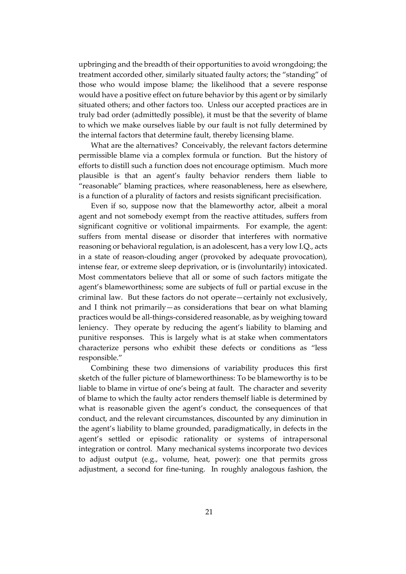upbringing and the breadth of their opportunities to avoid wrongdoing; the treatment accorded other, similarly situated faulty actors; the "standing" of those who would impose blame; the likelihood that a severe response would have a positive effect on future behavior by this agent or by similarly situated others; and other factors too. Unless our accepted practices are in truly bad order (admittedly possible), it must be that the severity of blame to which we make ourselves liable by our fault is not fully determined by the internal factors that determine fault, thereby licensing blame.

What are the alternatives? Conceivably, the relevant factors determine permissible blame via a complex formula or function. But the history of efforts to distill such a function does not encourage optimism. Much more plausible is that an agent's faulty behavior renders them liable to "reasonable" blaming practices, where reasonableness, here as elsewhere, is a function of a plurality of factors and resists significant precisification.

Even if so, suppose now that the blameworthy actor, albeit a moral agent and not somebody exempt from the reactive attitudes, suffers from significant cognitive or volitional impairments. For example, the agent: suffers from mental disease or disorder that interferes with normative reasoning or behavioral regulation, is an adolescent, has a very low I.Q., acts in a state of reason-clouding anger (provoked by adequate provocation), intense fear, or extreme sleep deprivation, or is (involuntarily) intoxicated. Most commentators believe that all or some of such factors mitigate the agent's blameworthiness; some are subjects of full or partial excuse in the criminal law. But these factors do not operate—certainly not exclusively, and I think not primarily—as considerations that bear on what blaming practices would be all-things-considered reasonable, as by weighing toward leniency. They operate by reducing the agent's liability to blaming and punitive responses. This is largely what is at stake when commentators characterize persons who exhibit these defects or conditions as "less responsible."

Combining these two dimensions of variability produces this first sketch of the fuller picture of blameworthiness: To be blameworthy is to be liable to blame in virtue of one's being at fault. The character and severity of blame to which the faulty actor renders themself liable is determined by what is reasonable given the agent's conduct, the consequences of that conduct, and the relevant circumstances, discounted by any diminution in the agent's liability to blame grounded, paradigmatically, in defects in the agent's settled or episodic rationality or systems of intrapersonal integration or control. Many mechanical systems incorporate two devices to adjust output (e.g., volume, heat, power): one that permits gross adjustment, a second for fine-tuning. In roughly analogous fashion, the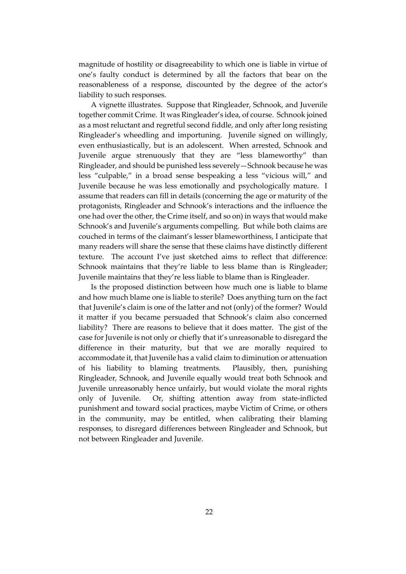magnitude of hostility or disagreeability to which one is liable in virtue of one's faulty conduct is determined by all the factors that bear on the reasonableness of a response, discounted by the degree of the actor's liability to such responses.

A vignette illustrates. Suppose that Ringleader, Schnook, and Juvenile together commit Crime. It was Ringleader's idea, of course. Schnook joined as a most reluctant and regretful second fiddle, and only after long resisting Ringleader's wheedling and importuning. Juvenile signed on willingly, even enthusiastically, but is an adolescent. When arrested, Schnook and Juvenile argue strenuously that they are "less blameworthy" than Ringleader, and should be punished less severely—Schnook because he was less "culpable," in a broad sense bespeaking a less "vicious will," and Juvenile because he was less emotionally and psychologically mature. I assume that readers can fill in details (concerning the age or maturity of the protagonists, Ringleader and Schnook's interactions and the influence the one had over the other, the Crime itself, and so on) in ways that would make Schnook's and Juvenile's arguments compelling. But while both claims are couched in terms of the claimant's lesser blameworthiness, I anticipate that many readers will share the sense that these claims have distinctly different texture. The account I've just sketched aims to reflect that difference: Schnook maintains that they're liable to less blame than is Ringleader; Juvenile maintains that they're less liable to blame than is Ringleader.

Is the proposed distinction between how much one is liable to blame and how much blame one is liable to sterile? Does anything turn on the fact that Juvenile's claim is one of the latter and not (only) of the former? Would it matter if you became persuaded that Schnook's claim also concerned liability? There are reasons to believe that it does matter. The gist of the case for Juvenile is not only or chiefly that it's unreasonable to disregard the difference in their maturity, but that we are morally required to accommodate it, that Juvenile has a valid claim to diminution or attenuation of his liability to blaming treatments. Plausibly, then, punishing Ringleader, Schnook, and Juvenile equally would treat both Schnook and Juvenile unreasonably hence unfairly, but would violate the moral rights only of Juvenile. Or, shifting attention away from state-inflicted punishment and toward social practices, maybe Victim of Crime, or others in the community, may be entitled, when calibrating their blaming responses, to disregard differences between Ringleader and Schnook, but not between Ringleader and Juvenile.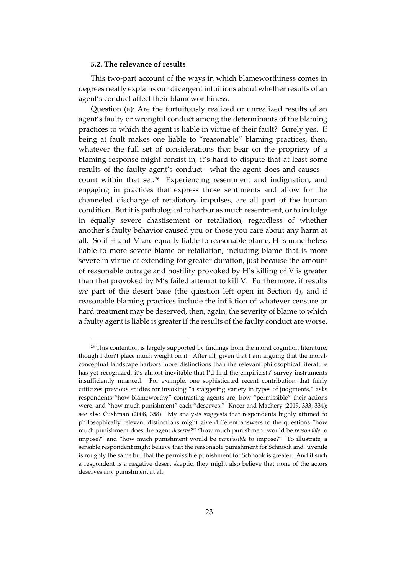# **5.2. The relevance of results**

This two-part account of the ways in which blameworthiness comes in degrees neatly explains our divergent intuitions about whether results of an agent's conduct affect their blameworthiness.

Question (a): Are the fortuitously realized or unrealized results of an agent's faulty or wrongful conduct among the determinants of the blaming practices to which the agent is liable in virtue of their fault? Surely yes. If being at fault makes one liable to "reasonable" blaming practices, then, whatever the full set of considerations that bear on the propriety of a blaming response might consist in, it's hard to dispute that at least some results of the faulty agent's conduct—what the agent does and causes count within that set.<sup>26</sup> Experiencing resentment and indignation, and engaging in practices that express those sentiments and allow for the channeled discharge of retaliatory impulses, are all part of the human condition. But it is pathological to harbor as much resentment, or to indulge in equally severe chastisement or retaliation, regardless of whether another's faulty behavior caused you or those you care about any harm at all. So if H and M are equally liable to reasonable blame, H is nonetheless liable to more severe blame or retaliation, including blame that is more severe in virtue of extending for greater duration, just because the amount of reasonable outrage and hostility provoked by H's killing of V is greater than that provoked by M's failed attempt to kill V. Furthermore, if results *are* part of the desert base (the question left open in Section 4), and if reasonable blaming practices include the infliction of whatever censure or hard treatment may be deserved, then, again, the severity of blame to which a faulty agent is liable is greater if the results of the faulty conduct are worse.

<sup>&</sup>lt;sup>26</sup> This contention is largely supported by findings from the moral cognition literature, though I don't place much weight on it. After all, given that I am arguing that the moralconceptual landscape harbors more distinctions than the relevant philosophical literature has yet recognized, it's almost inevitable that I'd find the empiricists' survey instruments insufficiently nuanced. For example, one sophisticated recent contribution that fairly criticizes previous studies for invoking "a staggering variety in types of judgments," asks respondents "how blameworthy" contrasting agents are, how "permissible" their actions were, and "how much punishment" each "deserves." Kneer and Machery (2019, 333, 334); see also Cushman (2008, 358). My analysis suggests that respondents highly attuned to philosophically relevant distinctions might give different answers to the questions "how much punishment does the agent *deserve*?" "how much punishment would be *reasonable* to impose?" and "how much punishment would be *permissible* to impose?" To illustrate, a sensible respondent might believe that the reasonable punishment for Schnook and Juvenile is roughly the same but that the permissible punishment for Schnook is greater. And if such a respondent is a negative desert skeptic, they might also believe that none of the actors deserves any punishment at all.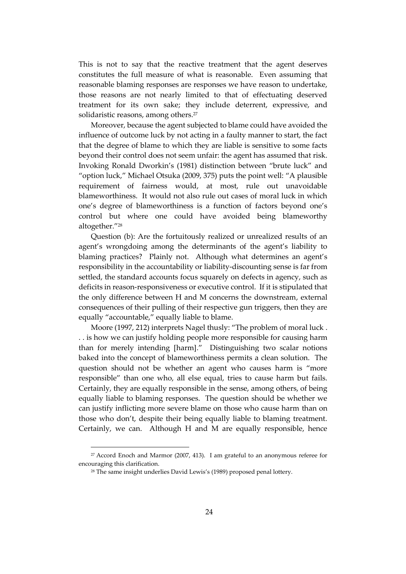This is not to say that the reactive treatment that the agent deserves constitutes the full measure of what is reasonable. Even assuming that reasonable blaming responses are responses we have reason to undertake, those reasons are not nearly limited to that of effectuating deserved treatment for its own sake; they include deterrent, expressive, and solidaristic reasons, among others.<sup>27</sup>

Moreover, because the agent subjected to blame could have avoided the influence of outcome luck by not acting in a faulty manner to start, the fact that the degree of blame to which they are liable is sensitive to some facts beyond their control does not seem unfair: the agent has assumed that risk. Invoking Ronald Dworkin's (1981) distinction between "brute luck" and "option luck," Michael Otsuka (2009, 375) puts the point well: "A plausible requirement of fairness would, at most, rule out unavoidable blameworthiness. It would not also rule out cases of moral luck in which one's degree of blameworthiness is a function of factors beyond one's control but where one could have avoided being blameworthy altogether."<sup>28</sup>

Question (b): Are the fortuitously realized or unrealized results of an agent's wrongdoing among the determinants of the agent's liability to blaming practices? Plainly not. Although what determines an agent's responsibility in the accountability or liability-discounting sense is far from settled, the standard accounts focus squarely on defects in agency, such as deficits in reason-responsiveness or executive control. If it is stipulated that the only difference between H and M concerns the downstream, external consequences of their pulling of their respective gun triggers, then they are equally "accountable," equally liable to blame.

Moore (1997, 212) interprets Nagel thusly: "The problem of moral luck . . . is how we can justify holding people more responsible for causing harm than for merely intending [harm]." Distinguishing two scalar notions baked into the concept of blameworthiness permits a clean solution. The question should not be whether an agent who causes harm is "more responsible" than one who, all else equal, tries to cause harm but fails. Certainly, they are equally responsible in the sense, among others, of being equally liable to blaming responses. The question should be whether we can justify inflicting more severe blame on those who cause harm than on those who don't, despite their being equally liable to blaming treatment. Certainly, we can. Although H and M are equally responsible, hence

<sup>27</sup> Accord Enoch and Marmor (2007, 413). I am grateful to an anonymous referee for encouraging this clarification.

<sup>&</sup>lt;sup>28</sup> The same insight underlies David Lewis's (1989) proposed penal lottery.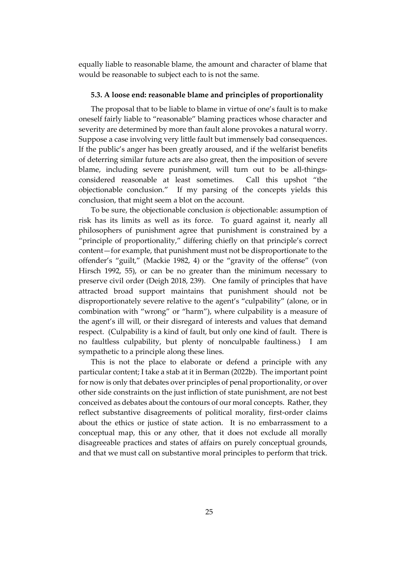equally liable to reasonable blame, the amount and character of blame that would be reasonable to subject each to is not the same.

#### **5.3. A loose end: reasonable blame and principles of proportionality**

The proposal that to be liable to blame in virtue of one's fault is to make oneself fairly liable to "reasonable" blaming practices whose character and severity are determined by more than fault alone provokes a natural worry. Suppose a case involving very little fault but immensely bad consequences. If the public's anger has been greatly aroused, and if the welfarist benefits of deterring similar future acts are also great, then the imposition of severe blame, including severe punishment, will turn out to be all-thingsconsidered reasonable at least sometimes. Call this upshot "the objectionable conclusion." If my parsing of the concepts yields this conclusion, that might seem a blot on the account.

To be sure, the objectionable conclusion *is* objectionable: assumption of risk has its limits as well as its force. To guard against it, nearly all philosophers of punishment agree that punishment is constrained by a "principle of proportionality," differing chiefly on that principle's correct content—for example, that punishment must not be disproportionate to the offender's "guilt," (Mackie 1982, 4) or the "gravity of the offense" (von Hirsch 1992, 55), or can be no greater than the minimum necessary to preserve civil order (Deigh 2018, 239). One family of principles that have attracted broad support maintains that punishment should not be disproportionately severe relative to the agent's "culpability" (alone, or in combination with "wrong" or "harm"), where culpability is a measure of the agent's ill will, or their disregard of interests and values that demand respect. (Culpability is a kind of fault, but only one kind of fault. There is no faultless culpability, but plenty of nonculpable faultiness.) I am sympathetic to a principle along these lines.

This is not the place to elaborate or defend a principle with any particular content; I take a stab at it in Berman (2022b). The important point for now is only that debates over principles of penal proportionality, or over other side constraints on the just infliction of state punishment, are not best conceived as debates about the contours of our moral concepts. Rather, they reflect substantive disagreements of political morality, first-order claims about the ethics or justice of state action. It is no embarrassment to a conceptual map, this or any other, that it does not exclude all morally disagreeable practices and states of affairs on purely conceptual grounds, and that we must call on substantive moral principles to perform that trick.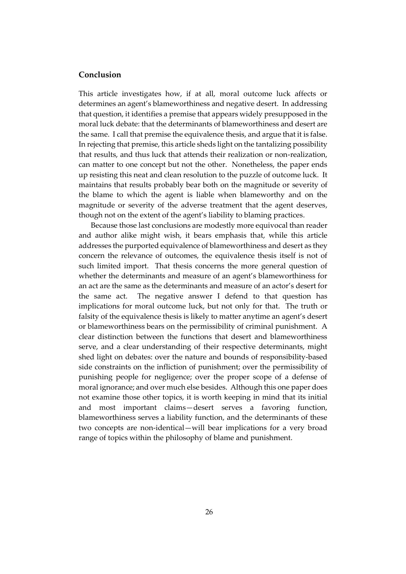# **Conclusion**

This article investigates how, if at all, moral outcome luck affects or determines an agent's blameworthiness and negative desert. In addressing that question, it identifies a premise that appears widely presupposed in the moral luck debate: that the determinants of blameworthiness and desert are the same. I call that premise the equivalence thesis, and argue that it is false. In rejecting that premise, this article sheds light on the tantalizing possibility that results, and thus luck that attends their realization or non-realization, can matter to one concept but not the other. Nonetheless, the paper ends up resisting this neat and clean resolution to the puzzle of outcome luck. It maintains that results probably bear both on the magnitude or severity of the blame to which the agent is liable when blameworthy and on the magnitude or severity of the adverse treatment that the agent deserves, though not on the extent of the agent's liability to blaming practices.

Because those last conclusions are modestly more equivocal than reader and author alike might wish, it bears emphasis that, while this article addresses the purported equivalence of blameworthiness and desert as they concern the relevance of outcomes, the equivalence thesis itself is not of such limited import. That thesis concerns the more general question of whether the determinants and measure of an agent's blameworthiness for an act are the same as the determinants and measure of an actor's desert for the same act. The negative answer I defend to that question has implications for moral outcome luck, but not only for that. The truth or falsity of the equivalence thesis is likely to matter anytime an agent's desert or blameworthiness bears on the permissibility of criminal punishment. A clear distinction between the functions that desert and blameworthiness serve, and a clear understanding of their respective determinants, might shed light on debates: over the nature and bounds of responsibility-based side constraints on the infliction of punishment; over the permissibility of punishing people for negligence; over the proper scope of a defense of moral ignorance; and over much else besides. Although this one paper does not examine those other topics, it is worth keeping in mind that its initial and most important claims—desert serves a favoring function, blameworthiness serves a liability function, and the determinants of these two concepts are non-identical—will bear implications for a very broad range of topics within the philosophy of blame and punishment.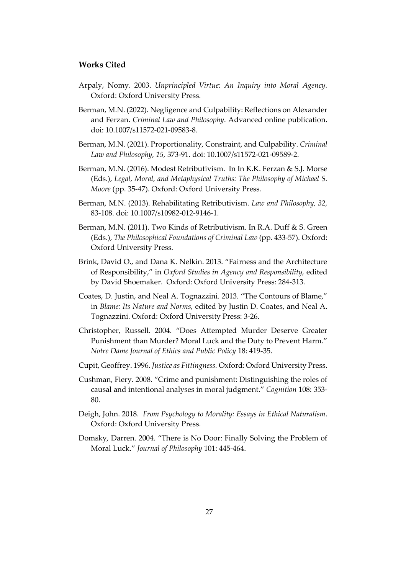# **Works Cited**

- Arpaly, Nomy. 2003. *Unprincipled Virtue: An Inquiry into Moral Agency.* Oxford: Oxford University Press.
- Berman, M.N. (2022). Negligence and Culpability: Reflections on Alexander and Ferzan. *Criminal Law and Philosophy.* Advanced online publication. doi: 10.1007/s11572-021-09583-8.
- Berman, M.N. (2021). Proportionality, Constraint, and Culpability. *Criminal Law and Philosophy, 15,* 373-91. doi: 10.1007/s11572-021-09589-2.
- Berman, M.N. (2016). Modest Retributivism. In In K.K. Ferzan & S.J. Morse (Eds.), *Legal, Moral, and Metaphysical Truths: The Philosophy of Michael S. Moore* (pp. 35-47). Oxford: Oxford University Press.
- Berman, M.N. (2013). Rehabilitating Retributivism. *Law and Philosophy, 32,*  83-108. doi: 10.1007/s10982-012-9146-1.
- Berman, M.N. (2011). Two Kinds of Retributivism. In R.A. Duff & S. Green (Eds.), *The Philosophical Foundations of Criminal Law* (pp. 433-57). Oxford: Oxford University Press.
- Brink, David O., and Dana K. Nelkin. 2013. "Fairness and the Architecture of Responsibility," in *Oxford Studies in Agency and Responsibility,* edited by David Shoemaker. Oxford: Oxford University Press: 284-313.
- Coates, D. Justin, and Neal A. Tognazzini. 2013. "The Contours of Blame," in *Blame: Its Nature and Norms,* edited by Justin D. Coates, and Neal A. Tognazzini. Oxford: Oxford University Press: 3-26.
- Christopher, Russell. 2004. "Does Attempted Murder Deserve Greater Punishment than Murder? Moral Luck and the Duty to Prevent Harm." *Notre Dame Journal of Ethics and Public Policy* 18: 419-35.
- Cupit, Geoffrey. 1996. *Justice as Fittingness.* Oxford: Oxford University Press.
- Cushman, Fiery. 2008. "Crime and punishment: Distinguishing the roles of causal and intentional analyses in moral judgment." *Cognition* 108: 353- 80.
- Deigh, John. 2018. *From Psychology to Morality: Essays in Ethical Naturalism*. Oxford: Oxford University Press.
- Domsky, Darren. 2004. "There is No Door: Finally Solving the Problem of Moral Luck." *Journal of Philosophy* 101: 445-464.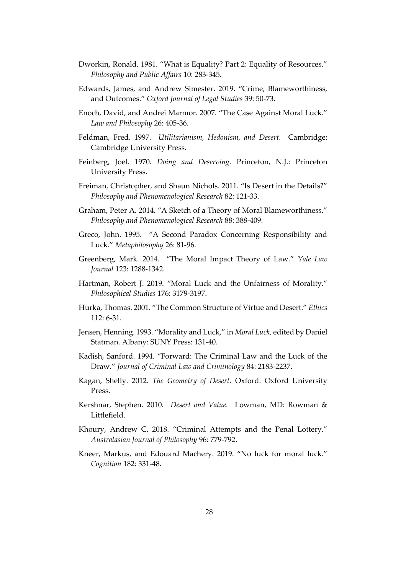- Dworkin, Ronald. 1981. "What is Equality? Part 2: Equality of Resources." *Philosophy and Public Affairs* 10: 283-345.
- Edwards, James, and Andrew Simester. 2019. "Crime, Blameworthiness, and Outcomes." *Oxford Journal of Legal Studies* 39: 50-73.
- Enoch, David, and Andrei Marmor. 2007. "The Case Against Moral Luck." *Law and Philosophy* 26: 405-36.
- Feldman, Fred. 1997. *Utilitarianism, Hedonism, and Desert.* Cambridge: Cambridge University Press.
- Feinberg, Joel. 1970. *Doing and Deserving.* Princeton, N.J.: Princeton University Press.
- Freiman, Christopher, and Shaun Nichols. 2011. "Is Desert in the Details?" *Philosophy and Phenomenological Research* 82: 121-33.
- Graham, Peter A. 2014. "A Sketch of a Theory of Moral Blameworthiness." *Philosophy and Phenomenological Research* 88: 388-409.
- Greco, John. 1995. "A Second Paradox Concerning Responsibility and Luck." *Metaphilosophy* 26: 81-96.
- Greenberg, Mark. 2014. "The Moral Impact Theory of Law." *Yale Law Journal* 123: 1288-1342.
- Hartman, Robert J. 2019. "Moral Luck and the Unfairness of Morality." *Philosophical Studies* 176: 3179-3197.
- Hurka, Thomas. 2001. "The Common Structure of Virtue and Desert." *Ethics*  112: 6-31.
- Jensen, Henning. 1993. "Morality and Luck," in *Moral Luck,* edited by Daniel Statman. Albany: SUNY Press: 131-40.
- Kadish, Sanford. 1994. "Forward: The Criminal Law and the Luck of the Draw." *Journal of Criminal Law and Criminology* 84: 2183-2237.
- Kagan, Shelly. 2012. *The Geometry of Desert.* Oxford: Oxford University Press.
- Kershnar, Stephen. 2010. *Desert and Value.* Lowman, MD: Rowman & Littlefield.
- Khoury, Andrew C. 2018. "Criminal Attempts and the Penal Lottery." *Australasian Journal of Philosophy* 96: 779-792.
- Kneer, Markus, and Edouard Machery. 2019. "No luck for moral luck." *Cognition* 182: 331-48.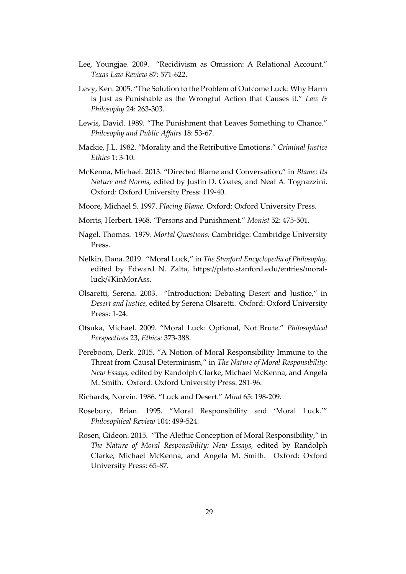- Lee, Youngjae. 2009. "Recidivism as Omission: A Relational Account." *Texas Law Review* 87: 571-622.
- Levy, Ken. 2005. "The Solution to the Problem of Outcome Luck: Why Harm is Just as Punishable as the Wrongful Action that Causes it." *Law & Philosophy* 24: 263-303.
- Lewis, David. 1989. "The Punishment that Leaves Something to Chance." *Philosophy and Public Affairs* 18: 53-67.
- Mackie, J.L. 1982. "Morality and the Retributive Emotions." *Criminal Justice Ethics* 1: 3-10.
- McKenna, Michael. 2013. "Directed Blame and Conversation," in *Blame: Its Nature and Norms,* edited by Justin D. Coates, and Neal A. Tognazzini. Oxford: Oxford University Press: 119-40.
- Moore, Michael S. 1997. *Placing Blame.* Oxford: Oxford University Press.
- Morris, Herbert. 1968. "Persons and Punishment." *Monist* 52: 475-501.
- Nagel, Thomas. 1979. *Mortal Questions.* Cambridge: Cambridge University Press.
- Nelkin, Dana. 2019. "Moral Luck," in *The Stanford Encyclopedia of Philosophy,* edited by Edward N. Zalta, https://plato.stanford.edu/entries/moralluck/#KinMorAss.
- Olsaretti, Serena. 2003. "Introduction: Debating Desert and Justice," in *Desert and Justice,* edited by Serena Olsaretti. Oxford: Oxford University Press: 1-24.
- Otsuka, Michael. 2009. "Moral Luck: Optional, Not Brute." *Philosophical Perspectives* 23, *Ethics:* 373-388.
- Pereboom, Derk. 2015. "A Notion of Moral Responsibility Immune to the Threat from Causal Determinism," in *The Nature of Moral Responsibility: New Essays,* edited by Randolph Clarke, Michael McKenna, and Angela M. Smith. Oxford: Oxford University Press: 281-96.
- Richards, Norvin. 1986. "Luck and Desert." *Mind* 65: 198-209.
- Rosebury, Brian. 1995. "Moral Responsibility and 'Moral Luck.'" *Philosophical Review* 104: 499-524.
- Rosen, Gideon. 2015. "The Alethic Conception of Moral Responsibility," in *The Nature of Moral Responsibility: New Essays,* edited by Randolph Clarke, Michael McKenna, and Angela M. Smith. Oxford: Oxford University Press: 65-87.